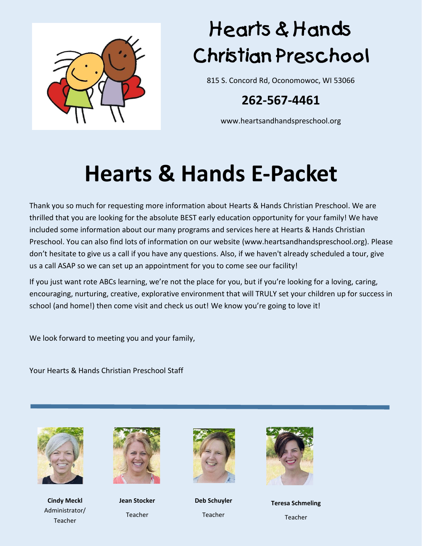

# Hearts & Hands **Christian Preschool**

815 S. Concord Rd, Oconomowoc, WI 53066

#### **262-567-4461**

www.heartsandhandspreschool.org

## **Hearts & Hands E-Packet**

Thank you so much for requesting more information about Hearts & Hands Christian Preschool. We are thrilled that you are looking for the absolute BEST early education opportunity for your family! We have included some information about our many programs and services here at Hearts & Hands Christian Preschool. You can also find lots of information on our website (www.heartsandhandspreschool.org). Please don't hesitate to give us a call if you have any questions. Also, if we haven't already scheduled a tour, give us a call ASAP so we can set up an appointment for you to come see our facility!

If you just want rote ABCs learning, we're not the place for you, but if you're looking for a loving, caring, encouraging, nurturing, creative, explorative environment that will TRULY set your children up for success in school (and home!) then come visit and check us out! We know you're going to love it!

We look forward to meeting you and your family,

Your Hearts & Hands Christian Preschool Staff



**Cindy Meckl** Administrator/ Teacher



**Jean Stocker** Teacher



**Deb Schuyler** Teacher



**Teresa Schmeling** Teacher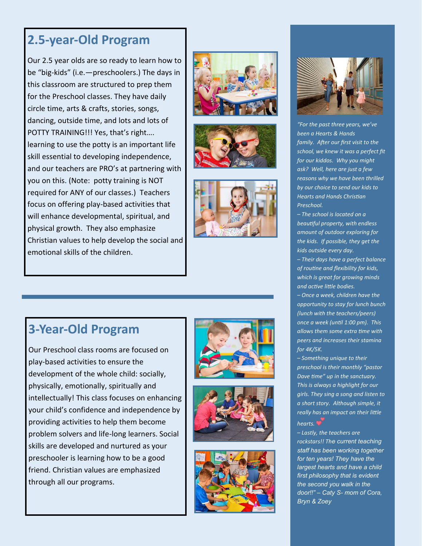#### **2.5 -year -Old Program**

Our 2.5 year olds are so ready to learn how to be "big -kids" (i.e. —preschoolers.) The days in this classroom are structured to prep them for the Preschool classes. They have daily circle time, arts & crafts, stories, songs, dancing, outside time, and lots and lots of POTTY TRAINING!!! Yes, that's right…. learning to use the potty is an important life skill essential to developing independence, and our teachers are PRO's at partnering with you on this. (Note: potty training is NOT required for ANY of our classes. ) Teachers focus on offering play -based activities that will enhance developmental, spiritual, and physical growth. They also emphasize Christian values to help develop the social and emotional skills of the children .









Our Preschool class rooms are focused on play -based activities to ensure the development of the whole child: socially, physically, emotionally, spiritually and intellectually ! This class focuses on enhancing your child's confidence and independence by providing activities to help them become problem solvers and life -long learners. Social skills are developed and nurtured as your preschooler is learning how to be a good friend. Christian values are emphasized through all our programs.









*"For the past three years, we've been a Hearts & Hands family. After our first visit to the school, we knew it was a perfect fit for our kiddos. Why you might ask? Well, here are just a few reasons why we have been thrilled by our choice to send our kids to Hearts and Hands Christian Preschool.* 

*– The school is located on a beautiful property, with endless amount of outdoor exploring for the kids. If possible, they get the kids outside every day.*

*– Their days have a perfect balance of routine and flexibility for kids, which is great for growing minds and active little bodies.*

*– Once a week, children have the opportunity to stay for lunch bunch (lunch with the teachers/peers) once a week (until 1:00 pm). This allows them some extra time with peers and increases their stamina for 4K/5K.*

*– Something unique to their preschool is their monthly "pastor Dave time" up in the sanctuary. This is always a highlight for our girls. They sing a song and listen to a short story. Although simple, it really has an impact on their little hearts.*

*– Lastly, the teachers are rockstars!! The current teaching staff has been working together for ten years! They have the largest hearts and have a child first philosophy that is evident the second you walk in the door!!" – Caty S - mom of Cora, Bryn & Zoey*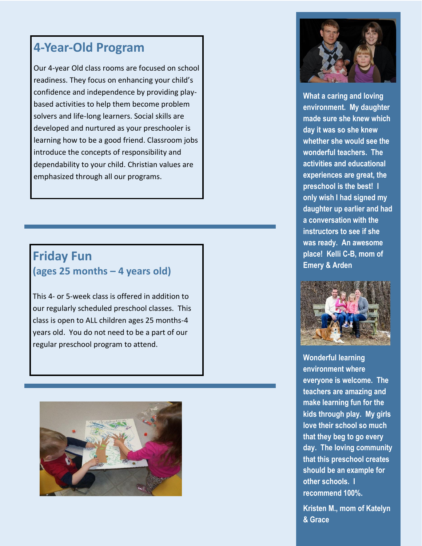#### **4-Year-Old Program**

Our 4-year Old class rooms are focused on school readiness. They focus on enhancing your child's confidence and independence by providing playbased activities to help them become problem solvers and life-long learners. Social skills are developed and nurtured as your preschooler is learning how to be a good friend. Classroom jobs introduce the concepts of responsibility and dependability to your child. Christian values are emphasized through all our programs.

#### **Friday Fun (ages 25 months – 4 years old)**

This 4- or 5-week class is offered in addition to our regularly scheduled preschool classes. This class is open to ALL children ages 25 months-4 years old. You do not need to be a part of our regular preschool program to attend.





**What a caring and loving environment. My daughter made sure she knew which day it was so she knew whether she would see the wonderful teachers. The activities and educational experiences are great, the preschool is the best! I only wish I had signed my daughter up earlier and had a conversation with the instructors to see if she was ready. An awesome place! Kelli C-B, mom of Emery & Arden** 



**Wonderful learning environment where everyone is welcome. The teachers are amazing and make learning fun for the kids through play. My girls love their school so much that they beg to go every day. The loving community that this preschool creates should be an example for other schools. I recommend 100%.**

**Kristen M., mom of Katelyn & Grace**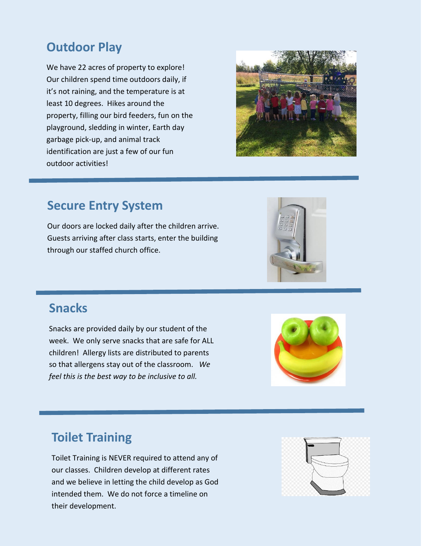### **Outdoor Play**

We have 22 acres of property to explore! Our children spend time outdoors daily, if it's not raining, and the temperature is at least 10 degrees. Hikes around the property, filling our bird feeders, fun on the playground, sledding in winter, Earth day garbage pick-up, and animal track identification are just a few of our fun outdoor activities!



#### **Secure Entry System**

Our doors are locked daily after the children arrive. Guests arriving after class starts, enter the building through our staffed church office.



#### **Snacks**

Snacks are provided daily by our student of the week. We only serve snacks that are safe for ALL children! Allergy lists are distributed to parents so that allergens stay out of the classroom. *We feel this is the best way to be inclusive to all.*



#### **Toilet Training**

Toilet Training is NEVER required to attend any of our classes. Children develop at different rates and we believe in letting the child develop as God intended them. We do not force a timeline on their development.

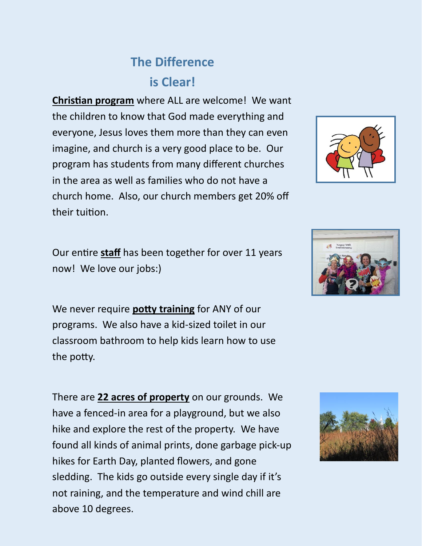## **The Difference is Clear!**

**Christian program** where ALL are welcome! We want the children to know that God made everything and everyone, Jesus loves them more than they can even imagine, and church is a very good place to be. Our program has students from many different churches in the area as well as families who do not have a church home. Also, our church members get 20% off their tuition.

Our entire **staff** has been together for over 11 years now! We love our jobs:)

We never require **potty training** for ANY of our programs. We also have a kid-sized toilet in our classroom bathroom to help kids learn how to use the potty.

There are **22 acres of property** on our grounds. We have a fenced-in area for a playground, but we also hike and explore the rest of the property. We have found all kinds of animal prints, done garbage pick-up hikes for Earth Day, planted flowers, and gone sledding. The kids go outside every single day if it's not raining, and the temperature and wind chill are above 10 degrees.